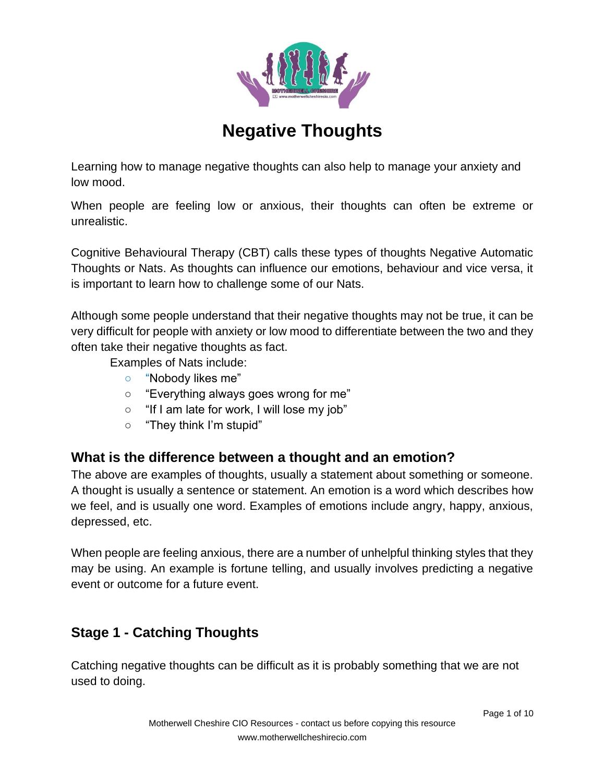

# **Negative Thoughts**

Learning how to manage negative thoughts can also help to manage your anxiety and low mood.

When people are feeling low or anxious, their thoughts can often be extreme or unrealistic.

Cognitive Behavioural Therapy (CBT) calls these types of thoughts Negative Automatic Thoughts or Nats. As thoughts can influence our emotions, behaviour and vice versa, it is important to learn how to challenge some of our Nats.

Although some people understand that their negative thoughts may not be true, it can be very difficult for people with anxiety or low mood to differentiate between the two and they often take their negative thoughts as fact.

Examples of Nats include:

- "Nobody likes me"
- "Everything always goes wrong for me"
- "If I am late for work, I will lose my job"
- "They think I'm stupid"

# **What is the difference between a thought and an emotion?**

The above are examples of thoughts, usually a statement about something or someone. A thought is usually a sentence or statement. An emotion is a word which describes how we feel, and is usually one word. Examples of emotions include angry, happy, anxious, depressed, etc.

When people are feeling anxious, there are a number of unhelpful thinking styles that they may be using. An example is fortune telling, and usually involves predicting a negative event or outcome for a future event.

# **Stage 1 - Catching Thoughts**

Catching negative thoughts can be difficult as it is probably something that we are not used to doing.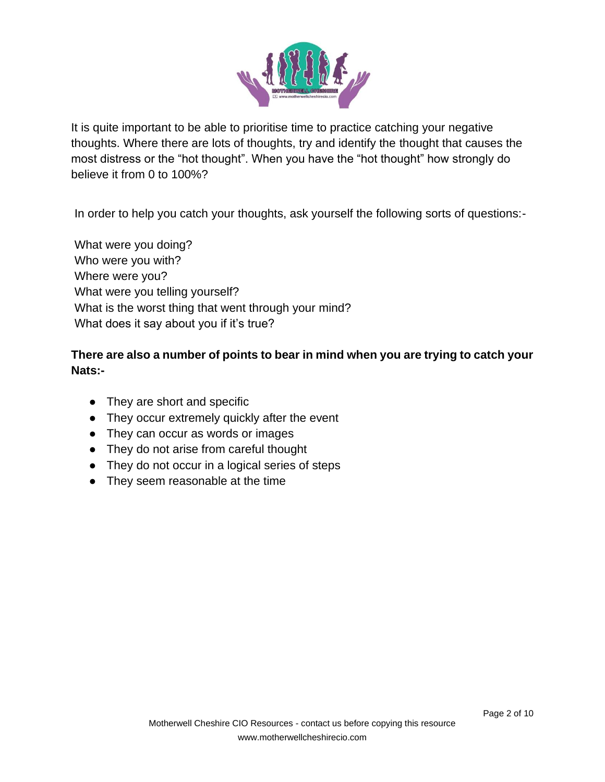

It is quite important to be able to prioritise time to practice catching your negative thoughts. Where there are lots of thoughts, try and identify the thought that causes the most distress or the "hot thought". When you have the "hot thought" how strongly do believe it from 0 to 100%?

In order to help you catch your thoughts, ask yourself the following sorts of questions:-

What were you doing? Who were you with? Where were you? What were you telling yourself? What is the worst thing that went through your mind? What does it say about you if it's true?

### **There are also a number of points to bear in mind when you are trying to catch your Nats:-**

- They are short and specific
- They occur extremely quickly after the event
- They can occur as words or images
- They do not arise from careful thought
- They do not occur in a logical series of steps
- They seem reasonable at the time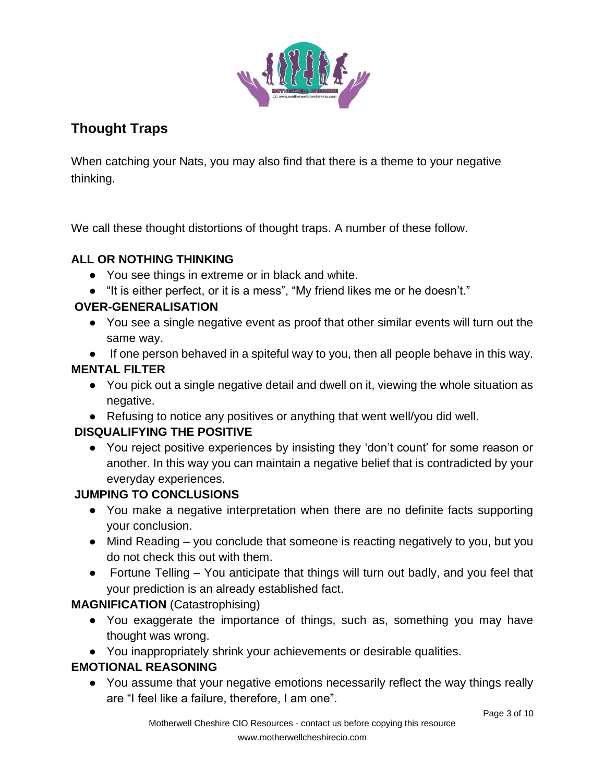

# **Thought Traps**

When catching your Nats, you may also find that there is a theme to your negative thinking.

We call these thought distortions of thought traps. A number of these follow.

# **ALL OR NOTHING THINKING**

- You see things in extreme or in black and white.
- "It is either perfect, or it is a mess", "My friend likes me or he doesn't."

#### **OVER-GENERALISATION**

- You see a single negative event as proof that other similar events will turn out the same way.
- If one person behaved in a spiteful way to you, then all people behave in this way.

# **MENTAL FILTER**

- You pick out a single negative detail and dwell on it, viewing the whole situation as negative.
- Refusing to notice any positives or anything that went well/you did well.

# **DISQUALIFYING THE POSITIVE**

● You reject positive experiences by insisting they 'don't count' for some reason or another. In this way you can maintain a negative belief that is contradicted by your everyday experiences.

# **JUMPING TO CONCLUSIONS**

- You make a negative interpretation when there are no definite facts supporting your conclusion.
- Mind Reading you conclude that someone is reacting negatively to you, but you do not check this out with them.
- Fortune Telling You anticipate that things will turn out badly, and you feel that your prediction is an already established fact.

# **MAGNIFICATION** (Catastrophising)

- You exaggerate the importance of things, such as, something you may have thought was wrong.
- You inappropriately shrink your achievements or desirable qualities.

# **EMOTIONAL REASONING**

● You assume that your negative emotions necessarily reflect the way things really are "I feel like a failure, therefore, I am one".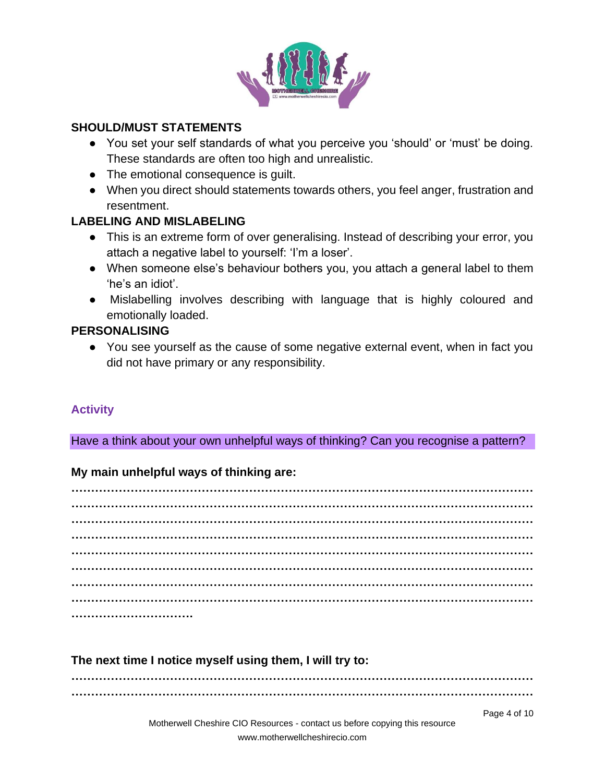

#### **SHOULD/MUST STATEMENTS**

- You set your self standards of what you perceive you 'should' or 'must' be doing. These standards are often too high and unrealistic.
- The emotional consequence is quilt.
- When you direct should statements towards others, you feel anger, frustration and resentment.

#### **LABELING AND MISLABELING**

- This is an extreme form of over generalising. Instead of describing your error, you attach a negative label to yourself: 'I'm a loser'.
- When someone else's behaviour bothers you, you attach a general label to them 'he's an idiot'.
- Mislabelling involves describing with language that is highly coloured and emotionally loaded.

#### **PERSONALISING**

● You see yourself as the cause of some negative external event, when in fact you did not have primary or any responsibility.

#### **Activity**

Have a think about your own unhelpful ways of thinking? Can you recognise a pattern?

#### **My main unhelpful ways of thinking are:**

**……………………………………………………………………………………………………… ……………………………………………………………………………………………………… ……………………………………………………………………………………………………… ……………………………………………………………………………………………………… ……………………………………………………………………………………………………… ……………………………………………………………………………………………………… ……………………………………………………………………………………………………… ……………………………………………………………………………………………………… ………………………….**

#### **The next time I notice myself using them, I will try to:**

**……………………………………………………………………………………………………… ………………………………………………………………………………………………………**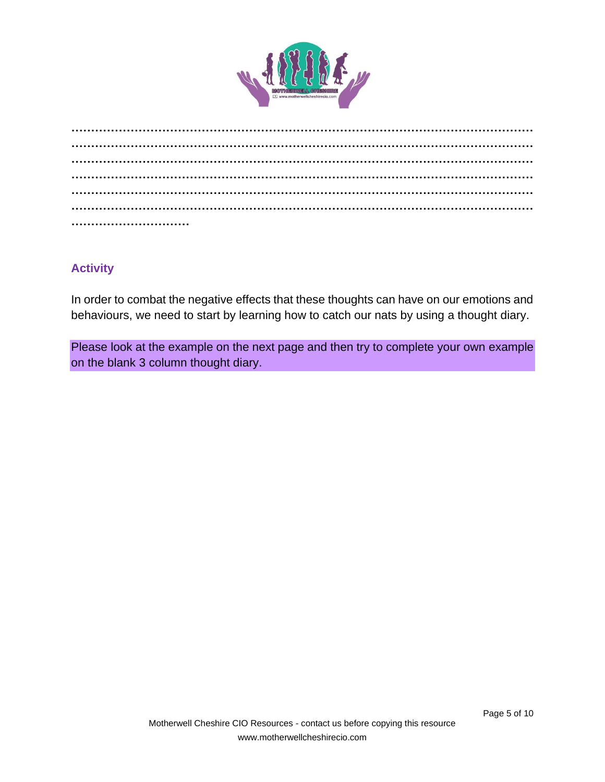

#### **Activity**

In order to combat the negative effects that these thoughts can have on our emotions and behaviours, we need to start by learning how to catch our nats by using a thought diary.

Please look at the example on the next page and then try to complete your own example on the blank 3 column thought diary.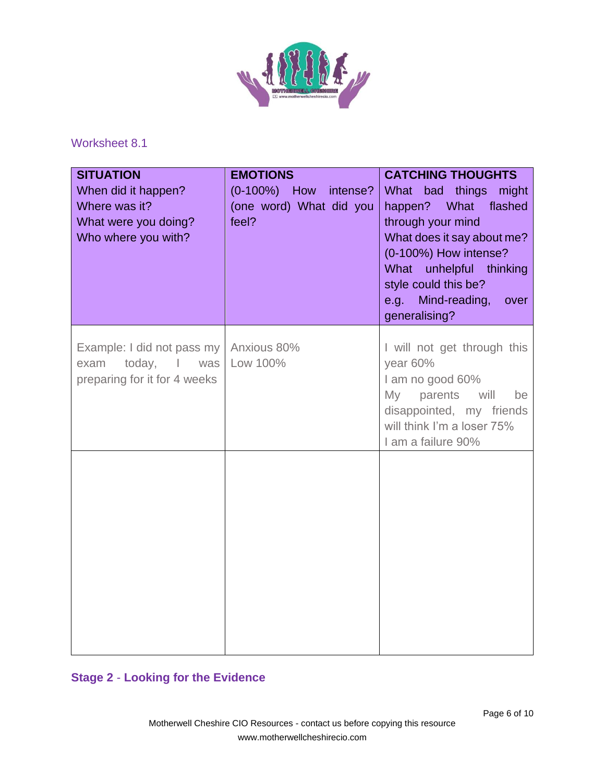

#### Worksheet 8.1

| <b>SITUATION</b><br>When did it happen?<br>Where was it?<br>What were you doing?<br>Who where you with? | <b>EMOTIONS</b><br>$(0-100%)$ How<br>intense?<br>(one word) What did you<br>feel? | <b>CATCHING THOUGHTS</b><br>What bad things might<br>What<br>flashed<br>happen?<br>through your mind<br>What does it say about me?<br>(0-100%) How intense?<br>What unhelpful thinking<br>style could this be?<br>e.g. Mind-reading,<br>over<br>generalising? |
|---------------------------------------------------------------------------------------------------------|-----------------------------------------------------------------------------------|---------------------------------------------------------------------------------------------------------------------------------------------------------------------------------------------------------------------------------------------------------------|
| Example: I did not pass my<br>today,<br>exam<br>$\mathsf I$<br>was<br>preparing for it for 4 weeks      | Anxious 80%<br>Low 100%                                                           | I will not get through this<br>year 60%<br>I am no good 60%<br>My parents<br>will<br>be<br>disappointed, my friends<br>will think I'm a loser 75%<br>I am a failure 90%                                                                                       |
|                                                                                                         |                                                                                   |                                                                                                                                                                                                                                                               |

#### **Stage 2** - **Looking for the Evidence**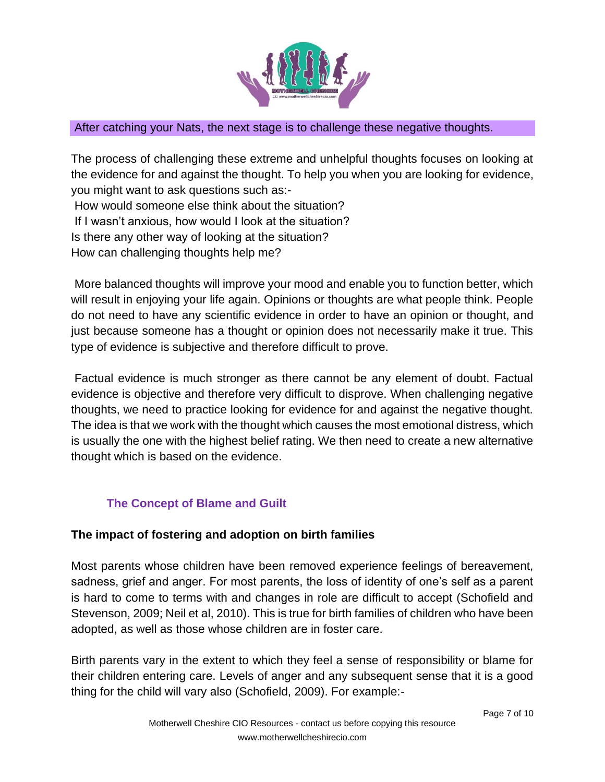

#### After catching your Nats, the next stage is to challenge these negative thoughts.

The process of challenging these extreme and unhelpful thoughts focuses on looking at the evidence for and against the thought. To help you when you are looking for evidence, you might want to ask questions such as:-

How would someone else think about the situation? If I wasn't anxious, how would I look at the situation?

Is there any other way of looking at the situation?

How can challenging thoughts help me?

More balanced thoughts will improve your mood and enable you to function better, which will result in enjoying your life again. Opinions or thoughts are what people think. People do not need to have any scientific evidence in order to have an opinion or thought, and just because someone has a thought or opinion does not necessarily make it true. This type of evidence is subjective and therefore difficult to prove.

Factual evidence is much stronger as there cannot be any element of doubt. Factual evidence is objective and therefore very difficult to disprove. When challenging negative thoughts, we need to practice looking for evidence for and against the negative thought. The idea is that we work with the thought which causes the most emotional distress, which is usually the one with the highest belief rating. We then need to create a new alternative thought which is based on the evidence.

# **The Concept of Blame and Guilt**

# **The impact of fostering and adoption on birth families**

Most parents whose children have been removed experience feelings of bereavement, sadness, grief and anger. For most parents, the loss of identity of one's self as a parent is hard to come to terms with and changes in role are difficult to accept (Schofield and Stevenson, 2009; Neil et al, 2010). This is true for birth families of children who have been adopted, as well as those whose children are in foster care.

Birth parents vary in the extent to which they feel a sense of responsibility or blame for their children entering care. Levels of anger and any subsequent sense that it is a good thing for the child will vary also (Schofield, 2009). For example:-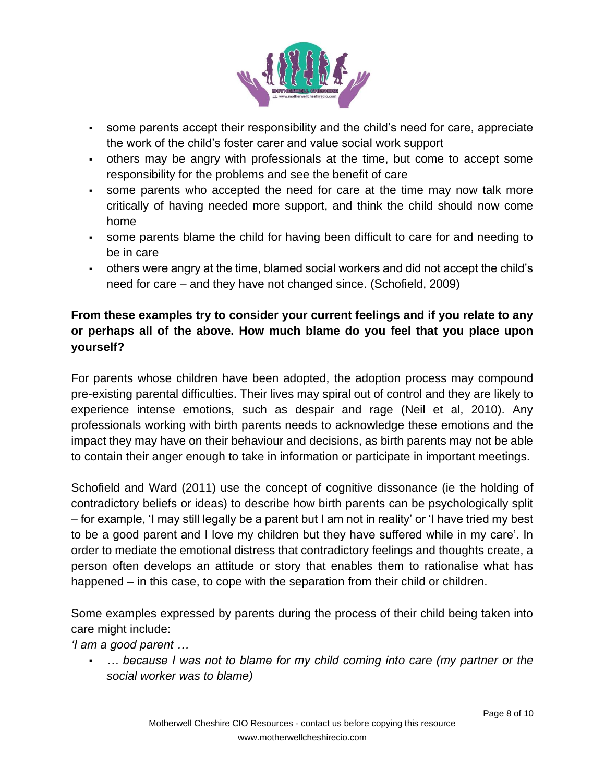

- some parents accept their responsibility and the child's need for care, appreciate the work of the child's foster carer and value social work support
- others may be angry with professionals at the time, but come to accept some responsibility for the problems and see the benefit of care
- some parents who accepted the need for care at the time may now talk more critically of having needed more support, and think the child should now come home
- some parents blame the child for having been difficult to care for and needing to be in care
- others were angry at the time, blamed social workers and did not accept the child's need for care – and they have not changed since. (Schofield, 2009)

# **From these examples try to consider your current feelings and if you relate to any or perhaps all of the above. How much blame do you feel that you place upon yourself?**

For parents whose children have been adopted, the adoption process may compound pre-existing parental difficulties. Their lives may spiral out of control and they are likely to experience intense emotions, such as despair and rage (Neil et al, 2010). Any professionals working with birth parents needs to acknowledge these emotions and the impact they may have on their behaviour and decisions, as birth parents may not be able to contain their anger enough to take in information or participate in important meetings.

Schofield and Ward (2011) use the concept of cognitive dissonance (ie the holding of contradictory beliefs or ideas) to describe how birth parents can be psychologically split – for example, 'I may still legally be a parent but I am not in reality' or 'I have tried my best to be a good parent and I love my children but they have suffered while in my care'. In order to mediate the emotional distress that contradictory feelings and thoughts create, a person often develops an attitude or story that enables them to rationalise what has happened – in this case, to cope with the separation from their child or children.

Some examples expressed by parents during the process of their child being taken into care might include:

*'I am a good parent …*

▪ *… because I was not to blame for my child coming into care (my partner or the social worker was to blame)*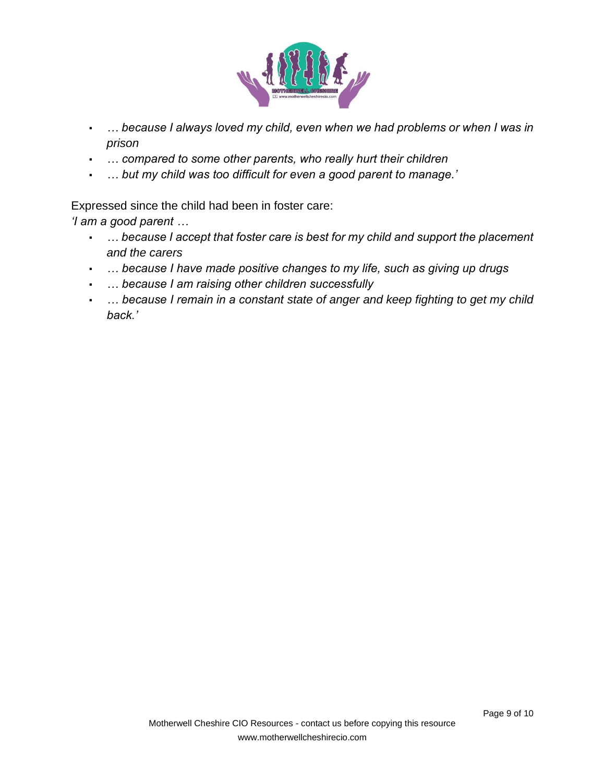

- *… because I always loved my child, even when we had problems or when I was in prison*
- *… compared to some other parents, who really hurt their children*
- *… but my child was too difficult for even a good parent to manage.'*

Expressed since the child had been in foster care:

*'I am a good parent …*

- *… because I accept that foster care is best for my child and support the placement and the carers*
- *… because I have made positive changes to my life, such as giving up drugs*
- *… because I am raising other children successfully*
- *… because I remain in a constant state of anger and keep fighting to get my child back.'*